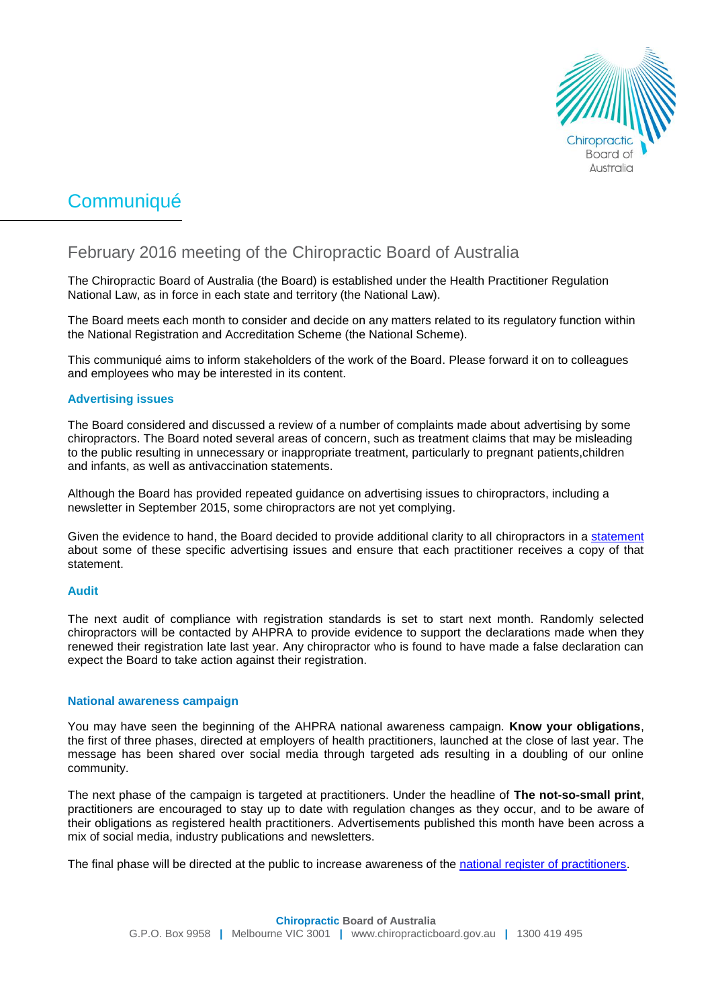

# Communiqué

# February 2016 meeting of the Chiropractic Board of Australia

The Chiropractic Board of Australia (the Board) is established under the Health Practitioner Regulation National Law, as in force in each state and territory (the National Law).

The Board meets each month to consider and decide on any matters related to its regulatory function within the National Registration and Accreditation Scheme (the National Scheme).

This communiqué aims to inform stakeholders of the work of the Board. Please forward it on to colleagues and employees who may be interested in its content.

## **Advertising issues**

The Board considered and discussed a review of a number of complaints made about advertising by some chiropractors. The Board noted several areas of concern, such as treatment claims that may be misleading to the public resulting in unnecessary or inappropriate treatment, particularly to pregnant patients,children and infants, as well as antivaccination statements.

Although the Board has provided repeated guidance on advertising issues to chiropractors, including a newsletter in September 2015, some chiropractors are not yet complying.

Given the evidence to hand, the Board decided to provide additional clarity to all chiropractors in a [statement](http://www.chiropracticboard.gov.au/News/2016-03-07-statement-on-advertising.aspx) about some of these specific advertising issues and ensure that each practitioner receives a copy of that statement.

#### **Audit**

The next audit of compliance with registration standards is set to start next month. Randomly selected chiropractors will be contacted by AHPRA to provide evidence to support the declarations made when they renewed their registration late last year. Any chiropractor who is found to have made a false declaration can expect the Board to take action against their registration.

#### **National awareness campaign**

You may have seen the beginning of the AHPRA national awareness campaign. **Know your obligations**, the first of three phases, directed at employers of health practitioners, launched at the close of last year. The message has been shared over social media through targeted ads resulting in a doubling of our online community.

The next phase of the campaign is targeted at practitioners. Under the headline of **The not-so-small print**, practitioners are encouraged to stay up to date with regulation changes as they occur, and to be aware of their obligations as registered health practitioners. Advertisements published this month have been across a mix of social media, industry publications and newsletters.

The final phase will be directed at the public to increase awareness of the [national register of practitioners.](http://www.ahpra.gov.au/Registration/Registers-of-Practitioners.aspx)